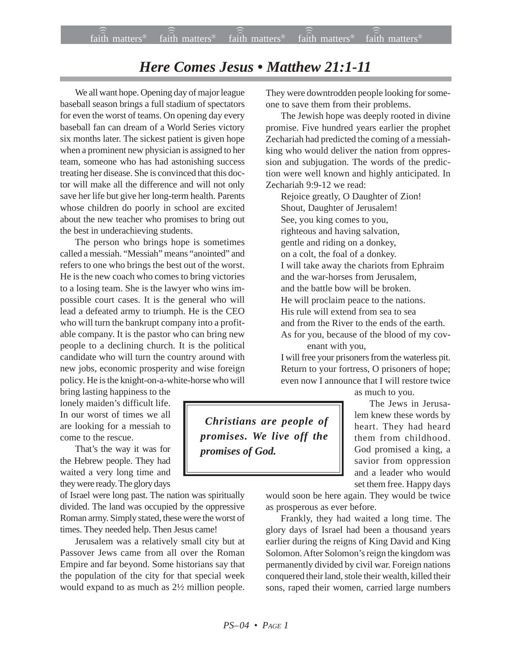## *Here Comes Jesus • Matthew 21:1-11*

We all want hope. Opening day of major league baseball season brings a full stadium of spectators for even the worst of teams. On opening day every baseball fan can dream of a World Series victory six months later. The sickest patient is given hope when a prominent new physician is assigned to her team, someone who has had astonishing success treating her disease. She is convinced that this doctor will make all the difference and will not only save her life but give her long-term health. Parents whose children do poorly in school are excited about the new teacher who promises to bring out the best in underachieving students.

The person who brings hope is sometimes called a messiah. "Messiah" means "anointed" and refers to one who brings the best out of the worst. He is the new coach who comes to bring victories to a losing team. She is the lawyer who wins impossible court cases. It is the general who will lead a defeated army to triumph. He is the CEO who will turn the bankrupt company into a profitable company. It is the pastor who can bring new people to a declining church. It is the political candidate who will turn the country around with new jobs, economic prosperity and wise foreign policy. He is the knight-on-a-white-horse who will

bring lasting happiness to the lonely maiden's difficult life. In our worst of times we all are looking for a messiah to come to the rescue.

That's the way it was for the Hebrew people. They had waited a very long time and they were ready. The glory days

of Israel were long past. The nation was spiritually divided. The land was occupied by the oppressive Roman army. Simply stated, these were the worst of times. They needed help. Then Jesus came!

Jerusalem was a relatively small city but at Passover Jews came from all over the Roman Empire and far beyond. Some historians say that the population of the city for that special week would expand to as much as 2½ million people.

They were downtrodden people looking for someone to save them from their problems.

The Jewish hope was deeply rooted in divine promise. Five hundred years earlier the prophet Zechariah had predicted the coming of a messiahking who would deliver the nation from oppression and subjugation. The words of the prediction were well known and highly anticipated. In Zechariah 9:9-12 we read:

Rejoice greatly, O Daughter of Zion! Shout, Daughter of Jerusalem! See, you king comes to you, righteous and having salvation, gentle and riding on a donkey, on a colt, the foal of a donkey. I will take away the chariots from Ephraim and the war-horses from Jerusalem, and the battle bow will be broken. He will proclaim peace to the nations. His rule will extend from sea to sea and from the River to the ends of the earth. As for you, because of the blood of my covenant with you,

I will free your prisoners from the waterless pit.

Return to your fortress, O prisoners of hope; even now I announce that I will restore twice as much to you.

The Jews in Jerusalem knew these words by heart. They had heard them from childhood. God promised a king, a savior from oppression and a leader who would set them free. Happy days

would soon be here again. They would be twice as prosperous as ever before.

Frankly, they had waited a long time. The glory days of Israel had been a thousand years earlier during the reigns of King David and King Solomon. After Solomon's reign the kingdom was permanently divided by civil war. Foreign nations conquered their land, stole their wealth, killed their sons, raped their women, carried large numbers

 *Christians are people of promises. We live off the promises of God.*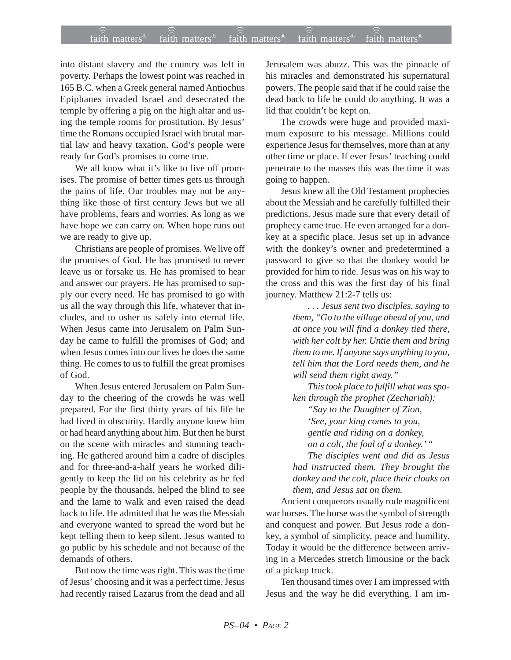## $f$ aith matters® staith matters® staith matters® staith matters® staith matters® faith matters<sup>®</sup> faith matters<sup>®</sup>  $\widehat{a}$ ith matters<sup>®</sup>

into distant slavery and the country was left in poverty. Perhaps the lowest point was reached in 165 B.C. when a Greek general named Antiochus Epiphanes invaded Israel and desecrated the temple by offering a pig on the high altar and using the temple rooms for prostitution. By Jesus' time the Romans occupied Israel with brutal martial law and heavy taxation. God's people were ready for God's promises to come true.

We all know what it's like to live off promises. The promise of better times gets us through the pains of life. Our troubles may not be anything like those of first century Jews but we all have problems, fears and worries. As long as we have hope we can carry on. When hope runs out we are ready to give up.

Christians are people of promises. We live off the promises of God. He has promised to never leave us or forsake us. He has promised to hear and answer our prayers. He has promised to supply our every need. He has promised to go with us all the way through this life, whatever that includes, and to usher us safely into eternal life. When Jesus came into Jerusalem on Palm Sunday he came to fulfill the promises of God; and when Jesus comes into our lives he does the same thing. He comes to us to fulfill the great promises of God.

When Jesus entered Jerusalem on Palm Sunday to the cheering of the crowds he was well prepared. For the first thirty years of his life he had lived in obscurity. Hardly anyone knew him or had heard anything about him. But then he burst on the scene with miracles and stunning teaching. He gathered around him a cadre of disciples and for three-and-a-half years he worked diligently to keep the lid on his celebrity as he fed people by the thousands, helped the blind to see and the lame to walk and even raised the dead back to life. He admitted that he was the Messiah and everyone wanted to spread the word but he kept telling them to keep silent. Jesus wanted to go public by his schedule and not because of the demands of others.

But now the time was right. This was the time of Jesus' choosing and it was a perfect time. Jesus had recently raised Lazarus from the dead and all Jerusalem was abuzz. This was the pinnacle of his miracles and demonstrated his supernatural powers. The people said that if he could raise the dead back to life he could do anything. It was a lid that couldn't be kept on.

The crowds were huge and provided maximum exposure to his message. Millions could experience Jesus for themselves, more than at any other time or place. If ever Jesus' teaching could penetrate to the masses this was the time it was going to happen.

Jesus knew all the Old Testament prophecies about the Messiah and he carefully fulfilled their predictions. Jesus made sure that every detail of prophecy came true. He even arranged for a donkey at a specific place. Jesus set up in advance with the donkey's owner and predetermined a password to give so that the donkey would be provided for him to ride. Jesus was on his way to the cross and this was the first day of his final journey. Matthew 21:2-7 tells us:

> *. . . Jesus sent two disciples, saying to them, "Go to the village ahead of you, and at once you will find a donkey tied there, with her colt by her. Untie them and bring them to me. If anyone says anything to you, tell him that the Lord needs them, and he will send them right away."*

*This took place to fulfill what was spoken through the prophet (Zechariah):*

*"Say to the Daughter of Zion, 'See, your king comes to you,*

*gentle and riding on a donkey,*

*on a colt, the foal of a donkey.' " The disciples went and did as Jesus had instructed them. They brought the donkey and the colt, place their cloaks on them, and Jesus sat on them.*

Ancient conquerors usually rode magnificent war horses. The horse was the symbol of strength and conquest and power. But Jesus rode a donkey, a symbol of simplicity, peace and humility. Today it would be the difference between arriving in a Mercedes stretch limousine or the back of a pickup truck.

Ten thousand times over I am impressed with Jesus and the way he did everything. I am im-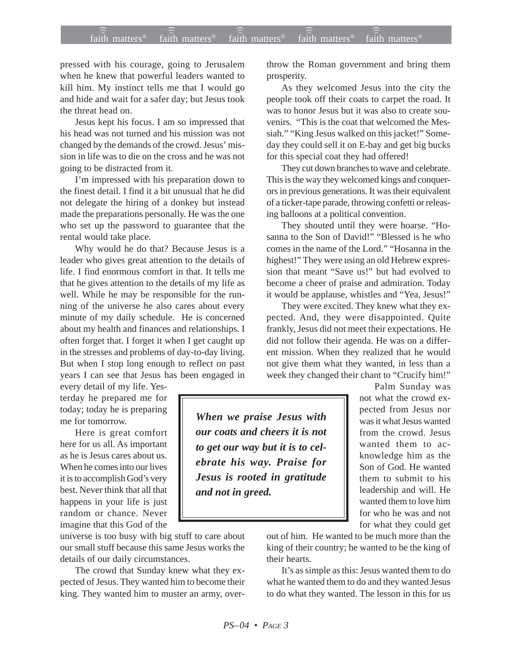## faith matters® faith matters® faith matters® faith matters® faith matters® ))) ))) ))) faith matters<sup>®</sup> faith matters<sup>®</sup>

pressed with his courage, going to Jerusalem when he knew that powerful leaders wanted to kill him. My instinct tells me that I would go and hide and wait for a safer day; but Jesus took the threat head on.

Jesus kept his focus. I am so impressed that his head was not turned and his mission was not changed by the demands of the crowd. Jesus' mission in life was to die on the cross and he was not going to be distracted from it.

I'm impressed with his preparation down to the finest detail. I find it a bit unusual that he did not delegate the hiring of a donkey but instead made the preparations personally. He was the one who set up the password to guarantee that the rental would take place.

Why would he do that? Because Jesus is a leader who gives great attention to the details of life. I find enormous comfort in that. It tells me that he gives attention to the details of my life as well. While he may be responsible for the running of the universe he also cares about every minute of my daily schedule. He is concerned about my health and finances and relationships. I often forget that. I forget it when I get caught up in the stresses and problems of day-to-day living. But when I stop long enough to reflect on past years I can see that Jesus has been engaged in

every detail of my life. Yesterday he prepared me for today; today he is preparing me for tomorrow.

Here is great comfort here for us all. As important as he is Jesus cares about us. When he comes into our lives it is to accomplish God's very best. Never think that all that happens in your life is just random or chance. Never imagine that this God of the

universe is too busy with big stuff to care about our small stuff because this same Jesus works the details of our daily circumstances.

The crowd that Sunday knew what they expected of Jesus. They wanted him to become their king. They wanted him to muster an army, overthrow the Roman government and bring them prosperity.

As they welcomed Jesus into the city the people took off their coats to carpet the road. It was to honor Jesus but it was also to create souvenirs. "This is the coat that welcomed the Messiah." "King Jesus walked on this jacket!" Someday they could sell it on E-bay and get big bucks for this special coat they had offered!

They cut down branches to wave and celebrate. This is the way they welcomed kings and conquerors in previous generations. It was their equivalent of a ticker-tape parade, throwing confetti or releasing balloons at a political convention.

They shouted until they were hoarse. "Hosanna to the Son of David!" "Blessed is he who comes in the name of the Lord." "Hosanna in the highest!" They were using an old Hebrew expression that meant "Save us!" but had evolved to become a cheer of praise and admiration. Today it would be applause, whistles and "Yea, Jesus!"

They were excited. They knew what they expected. And, they were disappointed. Quite frankly, Jesus did not meet their expectations. He did not follow their agenda. He was on a different mission. When they realized that he would not give them what they wanted, in less than a week they changed their chant to "Crucify him!"

*When we praise Jesus with our coats and cheers it is not to get our way but it is to celebrate his way. Praise for Jesus is rooted in gratitude and not in greed.*

Palm Sunday was not what the crowd expected from Jesus nor was it what Jesus wanted from the crowd. Jesus wanted them to acknowledge him as the Son of God. He wanted them to submit to his leadership and will. He wanted them to love him for who he was and not for what they could get

out of him. He wanted to be much more than the king of their country; he wanted to be the king of their hearts.

It's as simple as this: Jesus wanted them to do what he wanted them to do and they wanted Jesus to do what they wanted. The lesson in this for us